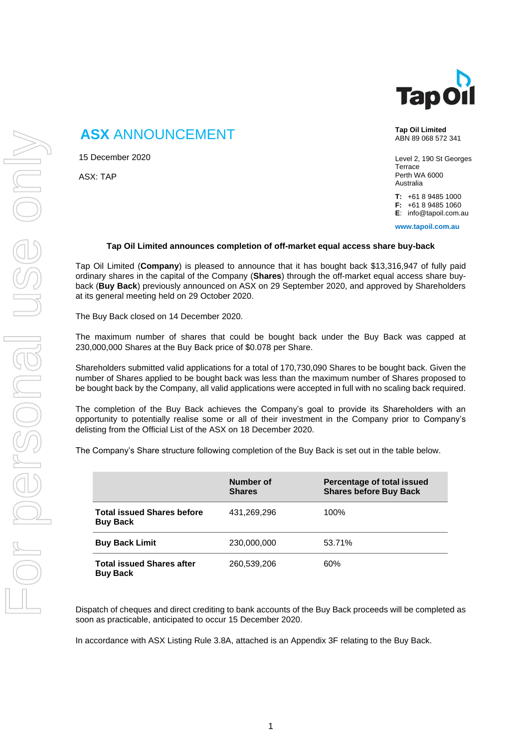

# **ASX** ANNOUNCEMENT

15 December 2020

ASX: TAP

**Tap Oil Limited** ABN 89 068 572 341

Level 2, 190 St Georges **Terrace** Perth WA 6000 Australia

**T:** +61 8 9485 1000 **F:** +61 8 9485 1060

**E**: info@tapoil.com.au

**www.tapoil.com.au**

#### **Tap Oil Limited announces completion of off-market equal access share buy-back**

Tap Oil Limited (**Company**) is pleased to announce that it has bought back \$13,316,947 of fully paid ordinary shares in the capital of the Company (**Shares**) through the off-market equal access share buyback (**Buy Back**) previously announced on ASX on 29 September 2020, and approved by Shareholders at its general meeting held on 29 October 2020.

The Buy Back closed on 14 December 2020.

The maximum number of shares that could be bought back under the Buy Back was capped at 230,000,000 Shares at the Buy Back price of \$0.078 per Share.

Shareholders submitted valid applications for a total of 170,730,090 Shares to be bought back. Given the number of Shares applied to be bought back was less than the maximum number of Shares proposed to be bought back by the Company, all valid applications were accepted in full with no scaling back required.

The completion of the Buy Back achieves the Company's goal to provide its Shareholders with an opportunity to potentially realise some or all of their investment in the Company prior to Company's delisting from the Official List of the ASX on 18 December 2020.

The Company's Share structure following completion of the Buy Back is set out in the table below.

|                                                      | Number of<br><b>Shares</b> | Percentage of total issued<br><b>Shares before Buy Back</b> |
|------------------------------------------------------|----------------------------|-------------------------------------------------------------|
| <b>Total issued Shares before</b><br><b>Buy Back</b> | 431,269,296                | 100%                                                        |
| <b>Buy Back Limit</b>                                | 230,000,000                | 53.71%                                                      |
| <b>Total issued Shares after</b><br><b>Buy Back</b>  | 260,539,206                | 60%                                                         |

Dispatch of cheques and direct crediting to bank accounts of the Buy Back proceeds will be completed as soon as practicable, anticipated to occur 15 December 2020.

In accordance with ASX Listing Rule 3.8A, attached is an Appendix 3F relating to the Buy Back.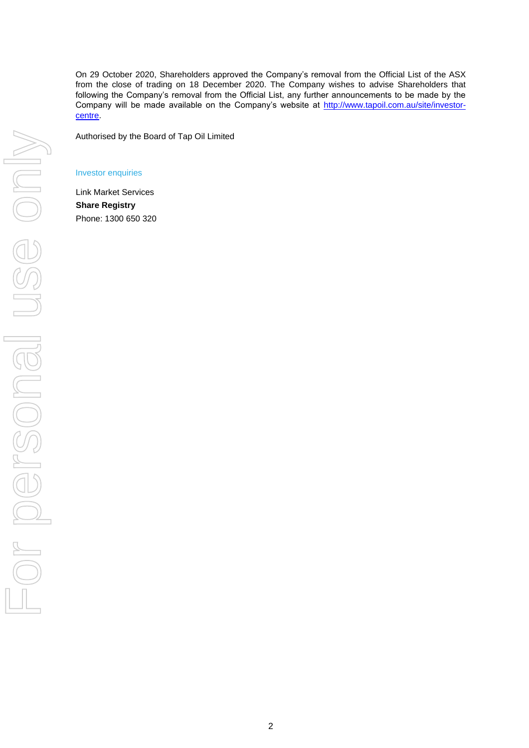On 29 October 2020, Shareholders approved the Company's removal from the Official List of the ASX from the close of trading on 18 December 2020. The Company wishes to advise Shareholders that following the Company's removal from the Official List, any further announcements to be made by the Company will be made available on the Company's website at [http://www.tapoil.com.au/site/investor](http://www.tapoil.com.au/site/investor-centre)[centre.](http://www.tapoil.com.au/site/investor-centre)

Authorised by the Board of Tap Oil Limited

#### Investor enquiries

Link Market Services **Share Registry** Phone: 1300 650 320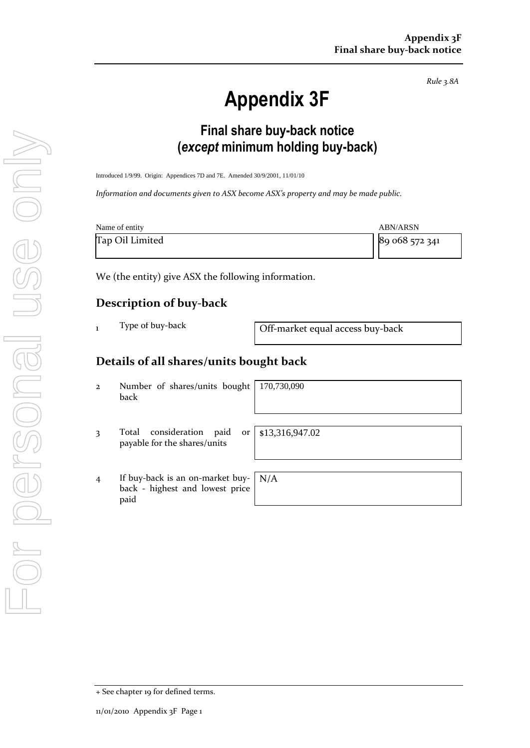*Rule 3.8A*

# **Appendix 3F**

# **Final share buy-back notice (***except* **minimum holding buy-back)**

Introduced 1/9/99. Origin: Appendices 7D and 7E. Amended 30/9/2001, 11/01/10

*Information and documents given to ASX become ASX's property and may be made public.*

| Name of entity  | ABN/ARSN       |
|-----------------|----------------|
| Tap Oil Limited | 89 068 572 341 |

We (the entity) give ASX the following information.

### **Description of buy-back**

|  |  | Type of buy-back |
|--|--|------------------|
|--|--|------------------|

 $\frac{1}{1}$  Type of buy-back  $\frac{1}{1}$  Off-market equal access buy-back

## **Details of all shares/units bought back**

2 Number of shares/units bought back

170,730,090

3 Total consideration paid or payable for the shares/units

4 If buy-back is an on-market buyback - highest and lowest price paid N/A

\$13,316,947.02

+ See chapter 19 for defined terms.